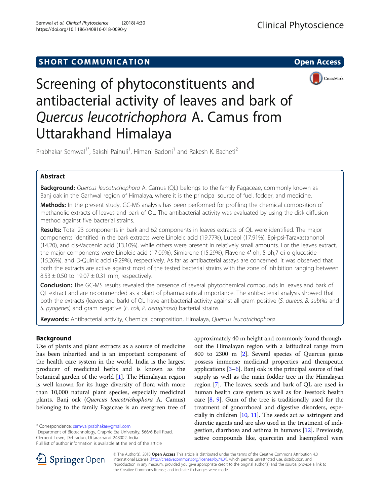## **SHORT COMMUNICATION COMMUNICATION**



# Screening of phytoconstituents and antibacterial activity of leaves and bark of Quercus leucotrichophora A. Camus from Uttarakhand Himalaya

Prabhakar Semwal<sup>1\*</sup>, Sakshi Painuli<sup>1</sup>, Himani Badoni<sup>1</sup> and Rakesh K. Bacheti<sup>2</sup>

## Abstract

Background: Quercus leucotrichophora A. Camus (QL) belongs to the family Fagaceae, commonly known as Banj oak in the Garhwal region of Himalaya, where it is the principal source of fuel, fodder, and medicine.

Methods: In the present study, GC-MS analysis has been performed for profiling the chemical composition of methanolic extracts of leaves and bark of QL. The antibacterial activity was evaluated by using the disk diffusion method against five bacterial strains.

Results: Total 23 components in bark and 62 components in leaves extracts of QL were identified. The major components identified in the bark extracts were Linoleic acid (19.77%), Lupeol (17.91%), Epi-psi-Taraxastanonol (14.20), and cis-Vaccenic acid (13.10%), while others were present in relatively small amounts. For the leaves extract, the major components were Linoleic acid (17.09%), Simiarene (15.29%), Flavone 4′-oh, 5-oh,7-di-o-glucoside (15.26%), and D-Quinic acid (9.29%), respectively. As far as antibacterial assays are concerned, it was observed that both the extracts are active against most of the tested bacterial strains with the zone of inhibition ranging between  $8.53 \pm 0.50$  to  $19.07 \pm 0.31$  mm, respectively.

Conclusion: The GC-MS results revealed the presence of several phytochemical compounds in leaves and bark of QL extract and are recommended as a plant of pharmaceutical importance. The antibacterial analysis showed that both the extracts (leaves and bark) of QL have antibacterial activity against all gram positive (S. aureus, B. subtilis and S. pyogenes) and gram negative (E. coli, P. aeruginosa) bacterial strains.

Keywords: Antibacterial activity, Chemical composition, Himalaya, Quercus leucotrichophora

## Background

Use of plants and plant extracts as a source of medicine has been inherited and is an important component of the health care system in the world. India is the largest producer of medicinal herbs and is known as the botanical garden of the world [[1\]](#page-4-0). The Himalayan region is well known for its huge diversity of flora with more than 10,000 natural plant species, especially medicinal plants. Banj oak (Quercus leucotrichophora A. Camus) belonging to the family Fagaceae is an evergreen tree of

\* Correspondence: [semwal.prabhakar@gmail.com](mailto:semwal.prabhakar@gmail.com) <sup>1</sup>

<sup>1</sup>Department of Biotechnology, Graphic Era University, 566/6 Bell Road, Clement Town, Dehradun, Uttarakhand 248002, India

Full list of author information is available at the end of the article





© The Author(s). 2018 Open Access This article is distributed under the terms of the Creative Commons Attribution 4.0 International License ([http://creativecommons.org/licenses/by/4.0/\)](http://creativecommons.org/licenses/by/4.0/), which permits unrestricted use, distribution, and reproduction in any medium, provided you give appropriate credit to the original author(s) and the source, provide a link to the Creative Commons license, and indicate if changes were made.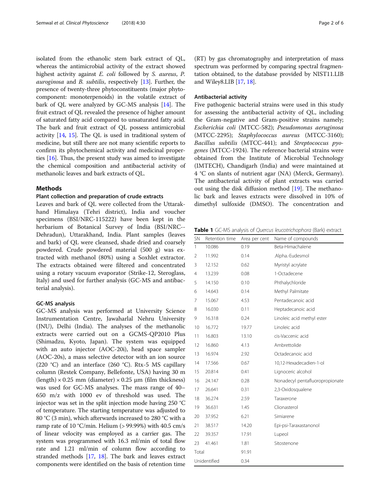<span id="page-1-0"></span>isolated from the ethanolic stem bark extract of QL, whereas the antimicrobial activity of the extract showed highest activity against E. coli followed by S. aureus, P. *auroginosa* and *B. subtilis*, respectively  $[13]$  $[13]$ . Further, the presence of twenty-three phytoconstituents (major phytocomponent: monoterpenoids) in the volatile extract of bark of QL were analyzed by GC-MS analysis [[14](#page-5-0)]. The fruit extract of QL revealed the presence of higher amount of saturated fatty acid compared to unsaturated fatty acid. The bark and fruit extract of QL possess antimicrobial activity [\[14,](#page-5-0) [15](#page-5-0)]. The QL is used in traditional system of medicine, but still there are not many scientific reports to confirm its phytochemical activity and medicinal properties [\[16\]](#page-5-0). Thus, the present study was aimed to investigate the chemical composition and antibacterial activity of methanolic leaves and bark extracts of QL.

## Methods

#### Plant collection and preparation of crude extracts

Leaves and bark of QL were collected from the Uttarakhand Himalaya (Tehri district), India and voucher specimens (BSI/NRC-115222) have been kept in the herbarium of Botanical Survey of India (BSI/NRC-- Dehradun), Uttarakhand, India. Plant samples (leaves and bark) of QL were cleansed, shade dried and coarsely powdered. Crude powdered material (500 g) was extracted with methanol (80%) using a Soxhlet extractor. The extracts obtained were filtered and concentrated using a rotary vacuum evaporator (Strike-12, Steroglass, Italy) and used for further analysis (GC-MS and antibacterial analysis).

#### GC-MS analysis

GC-MS analysis was performed at University Science Instrumentation Centre, Jawaharlal Nehru University (JNU), Delhi (India). The analyses of the methanolic extracts were carried out on a GCMS-QP2010 Plus (Shimadzu, Kyoto, Japan). The system was equipped with an auto injector (AOC-20i), head space sampler (AOC-20s), a mass selective detector with an ion source (220 °C) and an interface (260 °C). Rtx-5 MS capillary column (Restek Company, Bellefonte, USA) having 30 m (length)  $\times$  0.25 mm (diameter)  $\times$  0.25 µm (film thickness) was used for GC-MS analyses. The mass range of 40– 650 m/z with 1000 ev of threshold was used. The injector was set in the split injection mode having 250 °C of temperature. The starting temperature was adjusted to 80 °C (3 min), which afterwards increased to 280 °C with a ramp rate of 10 °C/min. Helium ( $> 99.99%$ ) with 40.5 cm/s of linear velocity was employed as a carrier gas. The system was programmed with 16.3 ml/min of total flow rate and 1.21 ml/min of column flow according to stranded methods [[17,](#page-5-0) [18\]](#page-5-0). The bark and leaves extract components were identified on the basis of retention time

(RT) by gas chromatography and interpretation of mass spectrum was performed by comparing spectral fragmentation obtained, to the database provided by NIST11.LIB and Wiley8.LIB [\[17](#page-5-0), [18](#page-5-0)].

#### Antibacterial activity

Five pathogenic bacterial strains were used in this study for assessing the antibacterial activity of QL, including the Gram-negative and Gram-positive strains namely; Escherichia coli (MTCC-582); Pseudomonas aeruginosa (MTCC-2295); Staphylococcus aureus (MTCC-3160); Bacillus subtilis (MTCC-441); and Streptococcus pyogenes (MTCC-1924). The reference bacterial strains were obtained from the Institute of Microbial Technology (IMTECH), Chandigarh (India) and were maintained at 4 °C on slants of nutrient agar (NA) (Merck, Germany). The antibacterial activity of plant extracts was carried out using the disk diffusion method [[19](#page-5-0)]. The methanolic bark and leaves extracts were dissolved in 10% of dimethyl sulfoxide (DMSO). The concentration and

Table 1 GC-MS analysis of Quercus leucotrichophora (Bark) extract

| <b>SN</b>      | Retention time | Area per cent | Name of compounds               |
|----------------|----------------|---------------|---------------------------------|
| 1              | 10.086         | 0.19          | Beta-Himachalene                |
| $\overline{2}$ | 11.992         | 0.14          | .Alpha.-Eudesmol                |
| 3              | 12.152         | 0.62          | Myristyl acrylate               |
| 4              | 13.239         | 0.08          | 1-Octadecene                    |
| 5              | 14.150         | 0.10          | Phthalychloride                 |
| 6              | 14.643         | 0.14          | Methyl Palmitate                |
| 7              | 15.067         | 4.53          | Pentadecanoic acid              |
| 8              | 16.030         | 0.11          | Heptadecanoic acid              |
| 9              | 16.318         | 0.24          | Linoleic acid methyl ester      |
| 10             | 16.772         | 19.77         | Linoleic acid                   |
| 11             | 16.803         | 13.10         | cis-Vaccenic acid               |
| 12             | 16.860         | 4.13          | Ambrettolide                    |
| 13             | 16.974         | 2.92          | Octadecanoic acid               |
| 14             | 17.566         | 0.67          | 10,12-Hexadecadien-1-ol         |
| 15             | 20.814         | 0.41          | Lignoceric alcohol              |
| 16             | 24.147         | 0.28          | Nonadecyl pentafluoropropionate |
| 17             | 26.641         | 0.31          | 2,3-Oxidosqualene               |
| 18             | 36.274         | 2.59          | Taraxerone                      |
| 19             | 36.631         | 1.45          | Clionasterol                    |
| 20             | 37.952         | 6.21          | Simiarene                       |
| 21             | 38.517         | 14.20         | Epi-psi-Taraxastanonol          |
| 22             | 39.357         | 17.91         | Lupeol                          |
| 23             | 41.461         | 1.81          | Sitostenone                     |
| Total          |                | 91.91         |                                 |
| Unidentified   |                | 0.34          |                                 |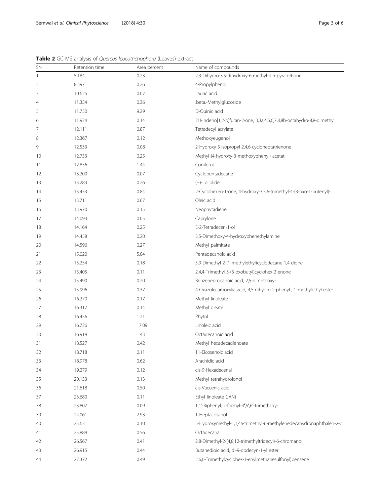| SN | Retention time | Area percent | Name of compounds                                                     |
|----|----------------|--------------|-----------------------------------------------------------------------|
| 1  | 5.184          | 0.23         | 2,3-Dihydro-3,5-dihydroxy-6-methyl-4 h-pyran-4-one                    |
| 2  | 8.397          | 0.26         | 4-Propylphenol                                                        |
| 3  | 10.625         | 0.07         | Lauric acid                                                           |
| 4  | 11.354         | 0.36         | .beta.-Methylglucoside                                                |
| 5  | 11.750         | 9.29         | D-Quinic acid                                                         |
| 6  | 11.924         | 0.14         | 2H-Indeno[1,2-b]furan-2-one, 3,3a,4,5,6,7,8,8b-octahydro-8,8-dimethyl |
| 7  | 12.111         | 0.87         | Tetradecyl acrylate                                                   |
| 8  | 12.367         | 0.12         | Methoxyeugenol                                                        |
| 9  | 12.533         | 0.08         | 2-Hydroxy-5-isopropyl-2,4,6-cycloheptatrienone                        |
| 10 | 12.733         | 0.25         | Methyl-(4-hydroxy-3-methoxyphenyl) acetat                             |
| 11 | 12.856         | 1.44         | Coniferol                                                             |
| 12 | 13.200         | 0.07         | Cyclopentadecane                                                      |
| 13 | 13.283         | 0.26         | (-)-Loliolide                                                         |
| 14 | 13.453         | 0.84         | 2-Cyclohexen-1-one, 4-hydroxy-3,5,6-trimethyl-4-(3-oxo-1-butenyl)-    |
| 15 | 13.711         | 0.67         | Oleic acid                                                            |
| 16 | 13.970         | 0.15         | Neophytadiene                                                         |
| 17 | 14.093         | 0.05         | Caprylone                                                             |
| 18 | 14.164         | 0.25         | E-2-Tetradecen-1-ol                                                   |
| 19 | 14.458         | 0.20         | 3,5-Dimethoxy-4-hydroxyphenethylamine                                 |
| 20 | 14.596         | 0.27         | Methyl palmitate                                                      |
| 21 | 15.020         | 5.04         | Pentadecanoic acid                                                    |
| 22 | 15.254         | 0.18         | 5,9-Dimethyl-2-(1-methylethyl)cyclodecane-1,4-dione                   |
| 23 | 15.405         | 0.11         | 2,4,4-Trimethyl-3-(3-oxobutyl)cyclohex-2-enone                        |
| 24 | 15.490         | 0.20         | Benzenepropanoic acid, 2,5-dimethoxy-                                 |
| 25 | 15.996         | 0.37         | 4-Oxazolecarboxylic acid, 4,5-dihydro-2-phenyl-, 1-methylethyl ester  |
| 26 | 16.270         | 0.17         | Methyl linoleate                                                      |
| 27 | 16.317         | 0.14         | Methyl oleate                                                         |
| 28 | 16.456         | 1.21         | Phytol                                                                |
| 29 | 16.726         | 17.09        | Linoleic acid                                                         |
| 30 | 16.919         | 1.43         | Octadecanoic acid                                                     |
| 31 | 18.527         | 0.42         | Methyl hexadecadienoate                                               |
| 32 | 18.718         | 0.11         | 11-Eicosenoic acid                                                    |
| 33 | 18.978         | 0.62         | Arachidic acid                                                        |
| 34 | 19.279         | 0.12         | cis-9-Hexadecenal                                                     |
| 35 | 20.133         | 0.13         | Methyl tetrahydroionol                                                |
| 36 | 21.618         | 0.50         | cis-Vaccenic acid                                                     |
| 37 | 23.680         | 0.11         | Ethyl linoleate (JAN)                                                 |
| 38 | 23.807         | 0.09         | 1,1'-Biphenyl, 2-formyl-4',5',6'-trimethoxy-                          |
| 39 | 24.061         | 2.93         | 1-Heptacosanol                                                        |
| 40 | 25.631         | 0.10         | 5-Hydroxymethyl-1,1,4a-trimethyl-6-methylenedecahydronaphthalen-2-o   |
| 41 | 25.889         | 0.56         | Octadecanal                                                           |
| 42 | 26.567         | 0.41         | 2,8-Dimethyl-2-(4,8,12-trimethyltridecyl)-6-chromanol                 |
| 43 | 26.915         | 0.44         | Butanedioic acid, di-9-dodecyn-1-yl ester                             |
| 44 | 27.372         | 0.49         | 2,6,6-Trimethylcyclohex-1-enylmethanesulfonyl)benzene                 |

<span id="page-2-0"></span>Table 2 GC-MS analysis of Quercus leucotrichophora (Leaves) extract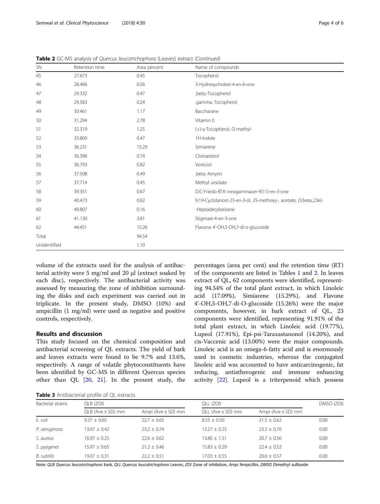volume of the extracts used for the analysis of antibacterial activity were 5 mg/ml and 20 μl (extract soaked by each disc), respectively. The antibacterial activity was assessed by measuring the zone of inhibition surrounding the disks and each experiment was carried out in triplicate. In the present study, DMSO (10%) and ampicillin (1 mg/ml) were used as negative and positive controls, respectively.

## Results and discussion

This study focused on the chemical composition and antibacterial screening of QL extracts. The yield of bark and leaves extracts were found to be 9.7% and 13.6%, respectively. A range of volatile phytoconstituents have been identified by GC-MS in different Quercus species other than QL [[20](#page-5-0), [21](#page-5-0)]. In the present study, the

Table 3 Antibacterial profile of OL extracts

| <b>Table J</b> Allupacterial profile of QL extracts |                         |                          |                         |                          |            |  |
|-----------------------------------------------------|-------------------------|--------------------------|-------------------------|--------------------------|------------|--|
| Bacterial strains                                   | OLB (ZOI)               |                          | OLL (ZOI)               |                          | DMSO (ZOI) |  |
|                                                     | $QLB$ (Ave $\pm$ SD) mm | Ampi ( $Ave \pm SD$ ) mm | $QLL$ (Ave $\pm$ SD) mm | Ampi ( $Ave \pm SD$ ) mm |            |  |
| E. coli                                             | $9.37 \pm 0.65$         | $22.7 + 0.65$            | $8.53 \pm 0.50$         | $21.5 \pm 0.62$          | 0.00       |  |
| P. aeruginosa                                       | $13.97 + 0.42$          | $23.2 + 0.74$            | $13.27 + 0.25$          | $23.3 + 0.70$            | 0.00       |  |
| S. aureus                                           | $16.97 + 0.25$          | $22.6 + 0.62$            | $13.80 + 1.51$          | $20.7 + 0.56$            | 0.00       |  |
| S. pyogenes                                         | $15.97 + 0.65$          | $21.2 + 0.46$            | $15.83 + 0.29$          | $22.4 + 0.52$            | 0.00       |  |
| B. subtilis                                         | $19.07 + 0.31$          | $22.2 \pm 0.51$          | $17.03 \pm 0.55$        | $20.6 \pm 0.57$          | 0.00       |  |
|                                                     |                         |                          |                         |                          |            |  |

<span id="page-3-0"></span>Table 2 GC-MS analysis of Quercus leucotrichophora (Leaves) extract (Continued)

SN Retention time Area percent Name of compounds

Note: QLB Quercus leucotrichophora bark, QLL Quercus leucotrichophora Leaves, ZOI Zone of inhibition, Ampi Ampicillin, DMSO Dimethyl sulfoxide

percentages (area per cent) and the retention time (RT) of the components are listed in Tables [1](#page-1-0) and [2](#page-2-0). In leaves extract of QL, 62 components were identified, representing 94.54% of the total plant extract, in which Linoleic acid (17.09%), Simiarene (15.29%), and Flavone 4'-OH,5-OH,7-di-O-glucoside (15.26%) were the major components, however, in bark extract of QL, 23 components were identified, representing 91.91% of the total plant extract, in which Linoleic acid (19.77%), Lupeol (17.91%), Epi-psi-Taraxastanonol (14.20%), and cis-Vaccenic acid (13.00%) were the major compounds. Linoleic acid is an omega-6-fatty acid and is enormously used in cosmetic industries, whereas the conjugated linoleic acid was accounted to have anticarcinogenic, fat reducing, antiatherogenic and immune enhancing activity [\[22](#page-5-0)]. Lupeol is a triterpenoid which possess

| 45           | 27.673 | 0.45  | Tocopherol                                                        |
|--------------|--------|-------|-------------------------------------------------------------------|
| 46           | 28.406 | 0.56  | 3-Hydroxycholest-4-en-6-one                                       |
| 47           | 29.332 | 0.47  | .beta.-Tocopherol                                                 |
| 48           | 29.583 | 0.24  | .gamma.-Tocopherol                                                |
| 49           | 30.461 | 1.17  | Baccharane                                                        |
| 50           | 31.294 | 2.78  | Vitamin E                                                         |
| 51           | 32.319 | 1.25  | (+)-γ-Tocopherol, O-methyl-                                       |
| 52           | 33.809 | 0.47  | 1H-Indole                                                         |
| 53           | 36.231 | 15.29 | Simiarene                                                         |
| 54           | 36.396 | 0.74  | Clionasterol                                                      |
| 55           | 36.793 | 0.82  | Verticiol                                                         |
| 56           | 37.508 | 0.49  | .beta.-Amyrin                                                     |
| 57           | 37.714 | 0.45  | Methyl ursolate                                                   |
| 58           | 39.351 | 0.67  | D:C-Friedo-B':A'-neogammacer-9(11)-en-3-one                       |
| 59           | 40.473 | 0.62  | 9,19-Cyclolanost-23-en-3-ol, 25-methoxy-, acetate, (3.beta.,23e)- |
| 60           | 40.807 | 0.16  | -Heptadecyloxirane                                                |
| 61           | 41.130 | 3.81  | Stigmast-4-en-3-one                                               |
| 62           | 44.451 | 15.26 | Flavone 4'-OH,5-OH,7-di-o-glucoside                               |
| Total        |        | 94.54 |                                                                   |
| Unidentified |        | 1.10  |                                                                   |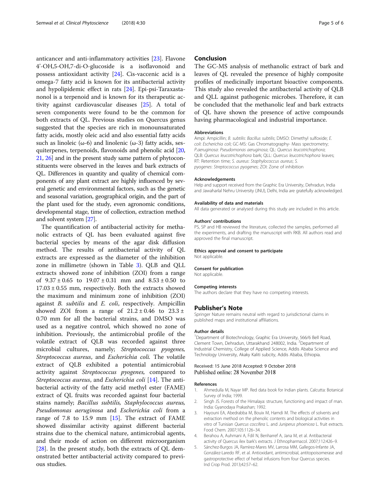<span id="page-4-0"></span>anticancer and anti-inflammatory activities [[23](#page-5-0)]. Flavone 4'-OH,5-OH,7-di-O-glucoside is a isoflavonoid and possess antioxidant activity [[24\]](#page-5-0). Cis-vaccenic acid is a omega-7 fatty acid is known for its antibacterial activity and hypolipidemic effect in rats [\[24](#page-5-0)]. Epi-psi-Taraxastanonol is a terpenoid and is known for its therapeutic activity against cardiovascular diseases [[25\]](#page-5-0). A total of seven components were found to be the common for both extracts of QL. Previous studies on Quercus genus suggested that the species are rich in monounsaturated fatty acids, mostly oleic acid and also essential fatty acids such as linoleic ( $\omega$ -6) and linolenic ( $\omega$ -3) fatty acids, sesquiterpenes, terpenoids, flavonoids and phenolic acid [\[20](#page-5-0), [21](#page-5-0), [26\]](#page-5-0) and in the present study same pattern of phytoconstituents were observed in the leaves and bark extracts of QL. Differences in quantity and quality of chemical components of any plant extract are highly influenced by several genetic and environmental factors, such as the genetic and seasonal variation, geographical origin, and the part of the plant used for the study, even agronomic conditions, developmental stage, time of collection, extraction method and solvent system [\[27\]](#page-5-0).

The quantification of antibacterial activity for methanolic extracts of QL has been evaluated against five bacterial species by means of the agar disk diffusion method. The results of antibacterial activity of QL extracts are expressed as the diameter of the inhibition zone in millimetre (shown in Table [3](#page-3-0)). QLB and QLL extracts showed zone of inhibition (ZOI) from a range of  $9.37 \pm 0.65$  to  $19.07 \pm 0.31$  mm and  $8.53 \pm 0.50$  to  $17.03 \pm 0.55$  mm, respectively. Both the extracts showed the maximum and minimum zone of inhibition (ZOI) against B. subtilis and E. coli, respectively. Ampicillin showed ZOI from a range of  $21.2 \pm 0.46$  to  $23.3 \pm 0.46$ 0.70 mm for all the bacterial strains, and DMSO was used as a negative control, which showed no zone of inhibition. Previously, the antimicrobial profile of the volatile extract of QLB was recorded against three microbial cultures, namely; Streptococcus pyogenes, Streptococcus aureus, and Escherichia coli. The volatile extract of QLB exhibited a potential antimicrobial activity against Streptococcus pyogenes, compared to Streptococcus aureus, and Escherichia coli [\[14\]](#page-5-0). The antibacterial activity of the fatty acid methyl ester (FAME) extract of QL fruits was recorded against four bacterial stains namely; Bacillus subtilis, Staphylococcus aureus, Pseudomonas aeruginosa and Escherichia coli from a range of 7.8 to [15](#page-5-0).9 mm  $[15]$ . The extract of FAME showed dissimilar activity against different bacterial strains due to the chemical nature, antimicrobial agents, and their mode of action on different microorganism [[28\]](#page-5-0). In the present study, both the extracts of QL demonstrated better antibacterial activity compared to previous studies.

### Conclusion

The GC-MS analysis of methanolic extract of bark and leaves of QL revealed the presence of highly composite profiles of medicinally important bioactive components. This study also revealed the antibacterial activity of QLB and QLL against pathogenic microbes. Therefore, it can be concluded that the methanolic leaf and bark extracts of QL have shown the presence of active compounds having pharmacological and industrial importance.

#### Abbreviations

Ampi: Ampicillin; B. subtilis: Bacillus subtilis; DMSO: Dimethyl sulfoxide; E. coli: Escherichia coli; GC-MS: Gas Chromatography- Mass spectrometry; P.aeruginosa: Pseudomonas aeruginosa; QL: Quercus leucotrichophora; QLB: Quercus leucotrichophora bark; QLL: Quercus leucotrichophora leaves; RT: Retention time; S. aureus: Staphylococcus aureus; S. pyogenes: Streptococcus pyogenes; ZOI: Zone of inhibition

#### Acknowledgements

Help and support received from the Graphic Era University, Dehradun, India and Jawaharlal Nehru University (JNU), Delhi, India are gratefully acknowledged.

#### Availability of data and materials

All data generated or analysed during this study are included in this article.

#### Authors' contributions

PS, SP and HB reviewed the literature, collected the samples, performed all the experiments, and drafting the manuscript with RKB. All authors read and approved the final manuscript.

#### Ethics approval and consent to participate

Not applicable.

#### Consent for publication

Not applicable.

#### Competing interests

The authors declare that they have no competing interests.

#### Publisher's Note

Springer Nature remains neutral with regard to jurisdictional claims in published maps and institutional affiliations.

#### Author details

<sup>1</sup>Department of Biotechnology, Graphic Era University, 566/6 Bell Road Clement Town, Dehradun, Uttarakhand 248002, India. <sup>2</sup>Department of Industrial Chemistry, College of Applied Science, Addis Ababa Science and Technology University, Akaky Kaliti subcity, Addis Ababa, Ethiopia.

#### Received: 15 June 2018 Accepted: 9 October 2018 Published online: 28 November 2018

#### References

- 1. Ahmedulla M, Nayar MP. Red data book for Indian plants. Calcutta: Botanical Survey of India; 1999.
- 2. Singh JS. Forests of the Himalaya: structure, functioning and impact of man. India: Gyanodaya Prakashan; 1992.
- Hayouni EA, Abedrabba M, Bouix M, Hamdi M. The effects of solvents and extraction method on the phenolic contents and biological activities in vitro of Tunisian Quercus coccifera L. and Juniperus phoenicea L. fruit extracts. Food Chem. 2007;105:1126–34.
- 4. Berahou A, Auhmani A, Fdil N, Benharref A, Jana M, et al. Antibacterial activity of Quercus ilex bark's extracts. J Ethnopharmacol. 2007;112:426–9.
- 5. Sánchez-Burgos JA, Ramírez-Mares MV, Larrosa MM, Gallegos-Infante JA, González-Laredo RF, et al. Antioxidant, antimicrobial, antitopoisomerase and gastroprotective effect of herbal infusions from four Quercus species. Ind Crop Prod. 2013;42:57–62.